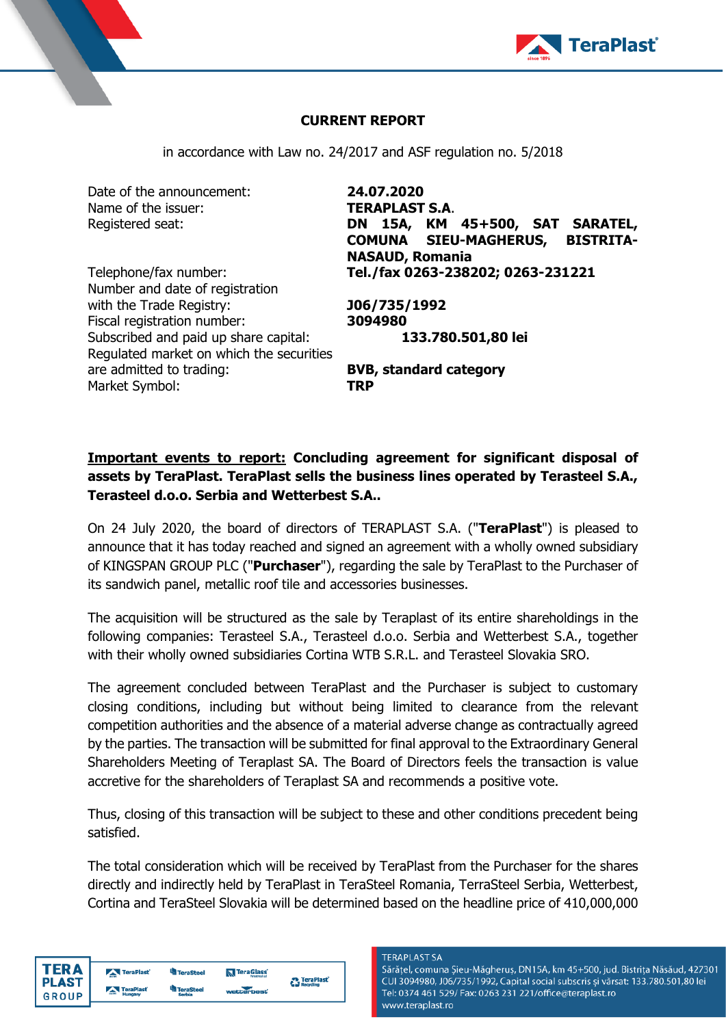

## **CURRENT REPORT**

in accordance with Law no. 24/2017 and ASF regulation no. 5/2018

Date of the announcement: **24.07.2020** Name of the issuer: **TERAPLAST S.A.** 

Number and date of registration with the Trade Registry: **J06/735/1992** Fiscal registration number: **3094980** Subscribed and paid up share capital: **133.780.501,80 lei** Regulated market on which the securities are admitted to trading: **BVB, standard category** Market Symbol: **TRP**

Registered seat: **DN 15A, KM 45+500, SAT SARATEL, COMUNA SIEU-MAGHERUS, BISTRITA-NASAUD, Romania** Telephone/fax number: **Tel./fax 0263-238202; 0263-231221**

## **Important events to report: Concluding agreement for significant disposal of assets by TeraPlast. TeraPlast sells the business lines operated by Terasteel S.A., Terasteel d.o.o. Serbia and Wetterbest S.A..**

On 24 July 2020, the board of directors of TERAPLAST S.A. ("**TeraPlast**") is pleased to announce that it has today reached and signed an agreement with a wholly owned subsidiary of KINGSPAN GROUP PLC ("**Purchaser**"), regarding the sale by TeraPlast to the Purchaser of its sandwich panel, metallic roof tile and accessories businesses.

The acquisition will be structured as the sale by Teraplast of its entire shareholdings in the following companies: Terasteel S.A., Terasteel d.o.o. Serbia and Wetterbest S.A., together with their wholly owned subsidiaries Cortina WTB S.R.L. and Terasteel Slovakia SRO.

The agreement concluded between TeraPlast and the Purchaser is subject to customary closing conditions, including but without being limited to clearance from the relevant competition authorities and the absence of a material adverse change as contractually agreed by the parties. The transaction will be submitted for final approval to the Extraordinary General Shareholders Meeting of Teraplast SA. The Board of Directors feels the transaction is value accretive for the shareholders of Teraplast SA and recommends a positive vote.

Thus, closing of this transaction will be subject to these and other conditions precedent being satisfied.

The total consideration which will be received by TeraPlast from the Purchaser for the shares directly and indirectly held by TeraPlast in TeraSteel Romania, TerraSteel Serbia, Wetterbest, Cortina and TeraSteel Slovakia will be determined based on the headline price of 410,000,000

| TERA  |
|-------|
| PLAST |
| GROUP |

| TeraPlast | <sup>U</sup> ll TeraSteel  | TeraGlass  |                                 |
|-----------|----------------------------|------------|---------------------------------|
| TeraPlast | <b>TeraSteel</b><br>Serbia | wetterbest | <b>C</b> TeraPlast <sup>*</sup> |

**TERAPLAST SA** 

Sărățel, comuna Șieu-Măgheruș, DN15A, km 45+500, jud. Bistrița Năsăud, 427301 CUI 3094980, J06/735/1992, Capital social subscris și vărsat: 133.780.501,80 lei Tel: 0374 461 529/ Fax: 0263 231 221/office@teraplast.ro www.teraplast.ro